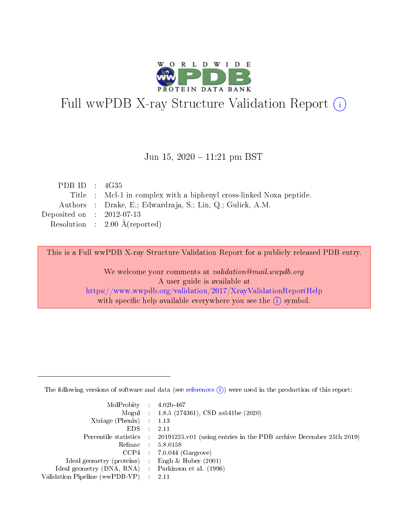

# Full wwPDB X-ray Structure Validation Report (i)

#### Jun 15,  $2020 - 11:21$  pm BST

| PDB ID : $4G35$             |                                                                     |
|-----------------------------|---------------------------------------------------------------------|
|                             | Title : Mcl-1 in complex with a biphenyl cross-linked Noxa peptide. |
|                             | Authors : Drake, E.; Edwardraja, S.; Lin, Q.; Gulick, A.M.          |
| Deposited on : $2012-07-13$ |                                                                     |
|                             | Resolution : $2.00 \text{ Å}$ (reported)                            |

This is a Full wwPDB X-ray Structure Validation Report for a publicly released PDB entry.

We welcome your comments at validation@mail.wwpdb.org A user guide is available at <https://www.wwpdb.org/validation/2017/XrayValidationReportHelp> with specific help available everywhere you see the  $(i)$  symbol.

The following versions of software and data (see [references](https://www.wwpdb.org/validation/2017/XrayValidationReportHelp#references)  $(1)$ ) were used in the production of this report:

| $MolProbability$ : 4.02b-467                        |                                                                                            |
|-----------------------------------------------------|--------------------------------------------------------------------------------------------|
|                                                     | Mogul : $1.8.5$ (274361), CSD as 541be (2020)                                              |
| Xtriage (Phenix) $: 1.13$                           |                                                                                            |
| EDS                                                 | -2.11                                                                                      |
|                                                     | Percentile statistics : 20191225.v01 (using entries in the PDB archive December 25th 2019) |
| Refmac 58.0158                                      |                                                                                            |
|                                                     | $CCP4$ 7.0.044 (Gargrove)                                                                  |
| Ideal geometry (proteins) : Engh $\&$ Huber (2001)  |                                                                                            |
| Ideal geometry (DNA, RNA) : Parkinson et al. (1996) |                                                                                            |
| Validation Pipeline (wwPDB-VP) : 2.11               |                                                                                            |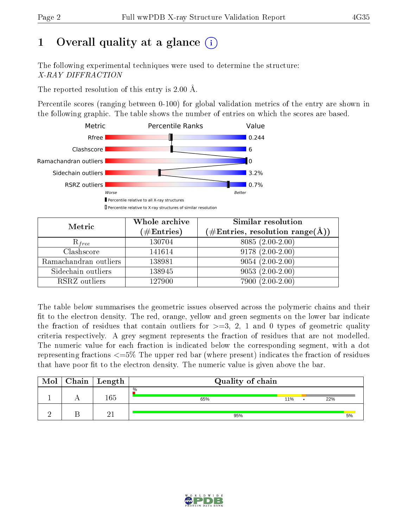# 1 [O](https://www.wwpdb.org/validation/2017/XrayValidationReportHelp#overall_quality)verall quality at a glance  $(i)$

The following experimental techniques were used to determine the structure: X-RAY DIFFRACTION

The reported resolution of this entry is 2.00 Å.

Percentile scores (ranging between 0-100) for global validation metrics of the entry are shown in the following graphic. The table shows the number of entries on which the scores are based.



| Metric                | Whole archive<br>$(\#\text{Entries})$ | Similar resolution<br>$(\#\text{Entries},\,\text{resolution}\,\,\text{range}(\textup{\AA}))$ |
|-----------------------|---------------------------------------|----------------------------------------------------------------------------------------------|
| $R_{free}$            | 130704                                | 8085 (2.00-2.00)                                                                             |
| Clashscore            | 141614                                | $9178(2.00-2.00)$                                                                            |
| Ramachandran outliers | 138981                                | $9054(2.00-2.00)$                                                                            |
| Sidechain outliers    | 138945                                | $9053(2.00-2.00)$                                                                            |
| RSRZ outliers         | 127900                                | 7900 (2.00-2.00)                                                                             |

The table below summarises the geometric issues observed across the polymeric chains and their fit to the electron density. The red, orange, yellow and green segments on the lower bar indicate the fraction of residues that contain outliers for  $>=3, 2, 1$  and 0 types of geometric quality criteria respectively. A grey segment represents the fraction of residues that are not modelled. The numeric value for each fraction is indicated below the corresponding segment, with a dot representing fractions  $\epsilon=5\%$  The upper red bar (where present) indicates the fraction of residues that have poor fit to the electron density. The numeric value is given above the bar.

| Mol | Chain   Length | Quality of chain |     |  |     |  |  |
|-----|----------------|------------------|-----|--|-----|--|--|
|     | 165            | $\%$<br>65%      | 11% |  | 22% |  |  |
|     |                | 95%              |     |  | 5%  |  |  |

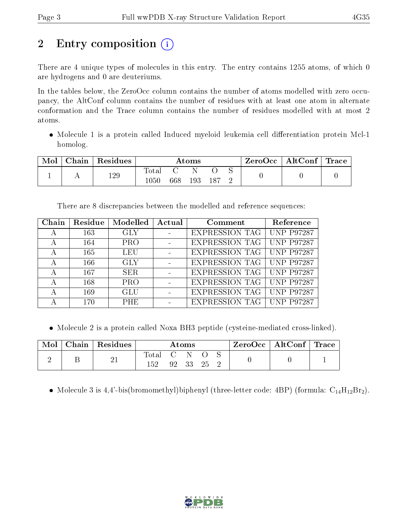# 2 Entry composition  $\left( \cdot \right)$

There are 4 unique types of molecules in this entry. The entry contains 1255 atoms, of which 0 are hydrogens and 0 are deuteriums.

In the tables below, the ZeroOcc column contains the number of atoms modelled with zero occupancy, the AltConf column contains the number of residues with at least one atom in alternate conformation and the Trace column contains the number of residues modelled with at most 2 atoms.

• Molecule 1 is a protein called Induced myeloid leukemia cell differentiation protein Mcl-1 homolog.

| Mol | Chain | Residues | $\rm{Atoms}$                 |     |     |  | ZeroOcc | $\vert$ AltConf $\vert$ | $^\shortparallel$ Trace |
|-----|-------|----------|------------------------------|-----|-----|--|---------|-------------------------|-------------------------|
|     |       | 129      | $\mathrm{Total}$<br>$1050\,$ | 668 | 193 |  |         |                         |                         |

There are 8 discrepancies between the modelled and reference sequences:

| ${\rm Chain}$ | Residue | Modelled   | Actual | Comment               | Reference         |
|---------------|---------|------------|--------|-----------------------|-------------------|
| А             | 163     | <b>GLY</b> |        | <b>EXPRESSION TAG</b> | <b>UNP P97287</b> |
| А             | 164     | <b>PRO</b> |        | <b>EXPRESSION TAG</b> | <b>UNP P97287</b> |
| А             | 165     | <b>LEU</b> |        | <b>EXPRESSION TAG</b> | <b>UNP P97287</b> |
| А             | 166     | <b>GLY</b> |        | <b>EXPRESSION TAG</b> | <b>UNP P97287</b> |
| А             | 167     | SER.       |        | <b>EXPRESSION TAG</b> | <b>UNP P97287</b> |
| А             | 168     | <b>PRO</b> |        | <b>EXPRESSION TAG</b> | <b>UNP P97287</b> |
| А             | 169     | <b>GLU</b> |        | <b>EXPRESSION TAG</b> | <b>UNP P97287</b> |
|               | 170     | <b>PHE</b> |        | <b>EXPRESSION TAG</b> | <b>UNP P97287</b> |

Molecule 2 is a protein called Noxa BH3 peptide (cysteine-mediated cross-linked).

| Mol | Chain   Residues | Atoms |  |    | $ZeroOcc \mid AltConf \mid Trace \mid$ |  |  |  |
|-----|------------------|-------|--|----|----------------------------------------|--|--|--|
|     | ∠⊥               | fotal |  | วว |                                        |  |  |  |

• Molecule 3 is 4,4'-bis(bromomethyl)biphenyl (three-letter code: 4BP) (formula:  $C_{14}H_{12}Br_2$ ).

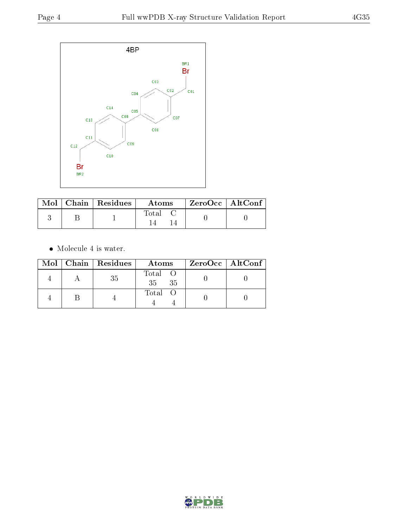

|  | $\blacksquare$ Mol $\parallel$ Chain $\parallel$ Residues $\parallel$ | Atoms | ZeroOcc   AltConf |  |
|--|-----------------------------------------------------------------------|-------|-------------------|--|
|  |                                                                       | Total |                   |  |

 $\bullet\,$  Molecule 4 is water.

|  | Mol   Chain   Residues | Atoms                             | $ZeroOcc \   \ AltConf \  $ |
|--|------------------------|-----------------------------------|-----------------------------|
|  | 35                     | Total O<br>35 <sub>1</sub><br>-35 |                             |
|  |                        | Total O                           |                             |

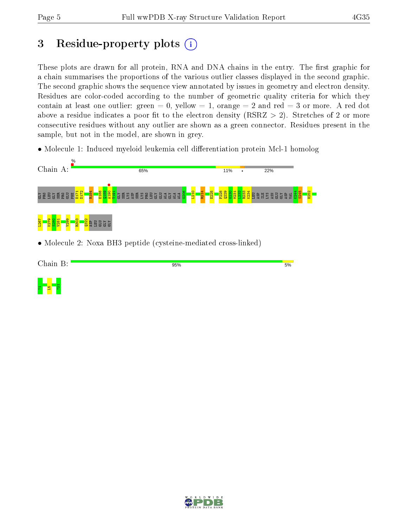$\Xi^-$ 21  $\Xi$ 

## 3 Residue-property plots  $(i)$

These plots are drawn for all protein, RNA and DNA chains in the entry. The first graphic for a chain summarises the proportions of the various outlier classes displayed in the second graphic. The second graphic shows the sequence view annotated by issues in geometry and electron density. Residues are color-coded according to the number of geometric quality criteria for which they contain at least one outlier: green  $= 0$ , yellow  $= 1$ , orange  $= 2$  and red  $= 3$  or more. A red dot above a residue indicates a poor fit to the electron density (RSRZ  $> 2$ ). Stretches of 2 or more consecutive residues without any outlier are shown as a green connector. Residues present in the sample, but not in the model, are shown in grey.

• Molecule 1: Induced myeloid leukemia cell differentiation protein Mcl-1 homolog



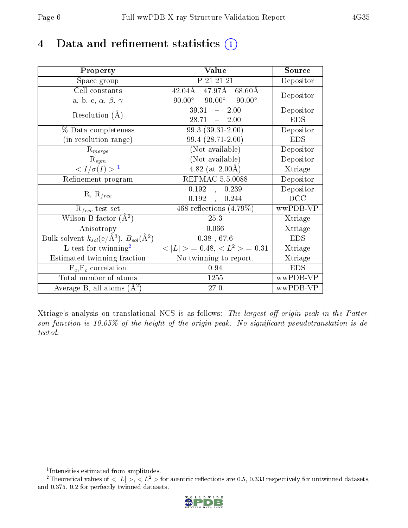## 4 Data and refinement statistics  $(i)$

| Property                                                             | Value                                            | Source     |
|----------------------------------------------------------------------|--------------------------------------------------|------------|
| Space group                                                          | P 21 21 21                                       | Depositor  |
| Cell constants                                                       | 47.97Å<br>$42.04\rm\AA$<br>$68.60\text{\AA}$     | Depositor  |
| a, b, c, $\alpha$ , $\beta$ , $\gamma$                               | $90.00^{\circ}$ $90.00^{\circ}$<br>$90.00^\circ$ |            |
| Resolution $(A)$                                                     | 39.31<br>2.00<br>$\frac{1}{2}$                   | Depositor  |
|                                                                      | 28.71<br>$-2.00$                                 | <b>EDS</b> |
| % Data completeness                                                  | $99.3(39.31-2.00)$                               | Depositor  |
| (in resolution range)                                                | 99.4 (28.71-2.00)                                | <b>EDS</b> |
| $R_{merge}$                                                          | (Not available)                                  | Depositor  |
| $\mathbf{R}_{sym}$                                                   | (Not available)                                  | Depositor  |
| $\langle I/\sigma(I) \rangle^{-1}$                                   | $4.82$ (at 2.00Å)                                | Xtriage    |
| Refinement program                                                   | REFMAC 5.5.0088                                  | Depositor  |
|                                                                      | 0.192,<br>0.239                                  | Depositor  |
| $R, R_{free}$                                                        | 0.192<br>0.244                                   | DCC        |
| $R_{free}$ test set                                                  | 468 reflections $(4.79\%)$                       | wwPDB-VP   |
| Wilson B-factor $(A^2)$                                              | 25.3                                             | Xtriage    |
| Anisotropy                                                           | 0.066                                            | Xtriage    |
| Bulk solvent $k_{sol}(e/\mathring{A}^3)$ , $B_{sol}(\mathring{A}^2)$ | $0.38$ , 67.6                                    | <b>EDS</b> |
| L-test for twinning <sup>2</sup>                                     | $< L >$ = 0.48, $< L^2 >$ = 0.31                 | Xtriage    |
| Estimated twinning fraction                                          | No twinning to report.                           | Xtriage    |
| $F_o, F_c$ correlation                                               | 0.94                                             | <b>EDS</b> |
| Total number of atoms                                                | 1255                                             | wwPDB-VP   |
| Average B, all atoms $(A^2)$                                         | 27.0                                             | wwPDB-VP   |

Xtriage's analysis on translational NCS is as follows: The largest off-origin peak in the Patterson function is 10.05% of the height of the origin peak. No significant pseudotranslation is detected.

<sup>&</sup>lt;sup>2</sup>Theoretical values of  $\langle |L| \rangle$ ,  $\langle L^2 \rangle$  for acentric reflections are 0.5, 0.333 respectively for untwinned datasets, and 0.375, 0.2 for perfectly twinned datasets.



<span id="page-5-1"></span><span id="page-5-0"></span><sup>1</sup> Intensities estimated from amplitudes.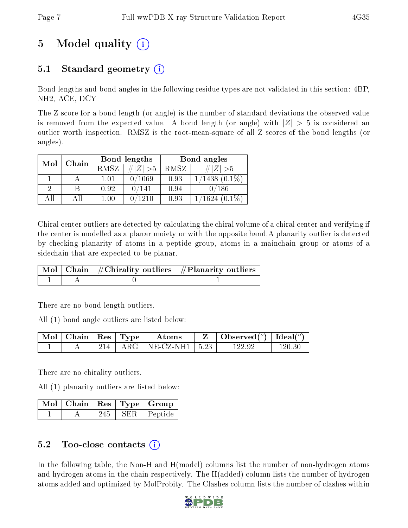# 5 Model quality  $(i)$

### 5.1 Standard geometry (i)

Bond lengths and bond angles in the following residue types are not validated in this section: 4BP, NH2, ACE, DCY

The Z score for a bond length (or angle) is the number of standard deviations the observed value is removed from the expected value. A bond length (or angle) with  $|Z| > 5$  is considered an outlier worth inspection. RMSZ is the root-mean-square of all Z scores of the bond lengths (or angles).

| Mol | Chain |      | Bond lengths | Bond angles |                    |  |
|-----|-------|------|--------------|-------------|--------------------|--|
|     |       | RMSZ | # $ Z  > 5$  | RMSZ        | $\# Z  > 5$        |  |
|     |       | 1.01 | 0/1069       | 0.93        | $1/1438$ $(0.1\%)$ |  |
| 2   |       | 0.92 | 0/141        | 0.94        | 0/186              |  |
| AH  | Αll   | 1.00 | 0/1210       | 0.93        | $1/1624$ $(0.1\%)$ |  |

Chiral center outliers are detected by calculating the chiral volume of a chiral center and verifying if the center is modelled as a planar moiety or with the opposite hand.A planarity outlier is detected by checking planarity of atoms in a peptide group, atoms in a mainchain group or atoms of a sidechain that are expected to be planar.

|  | $\mid$ Mol $\mid$ Chain $\mid$ #Chirality outliers $\mid$ #Planarity outliers $\mid$ |
|--|--------------------------------------------------------------------------------------|
|  |                                                                                      |

There are no bond length outliers.

All (1) bond angle outliers are listed below:

| $\vert$ Mol $\vert$ Chain $\vert$ Res $\vert$ Type $\vert$ |  | Atoms                                      | Observed $(^\circ)$   Ideal $(^\circ)$ |            |
|------------------------------------------------------------|--|--------------------------------------------|----------------------------------------|------------|
|                                                            |  | $-214$   ARG   NE-CZ-NH1   5.23 $^{\circ}$ | 122.92                                 | $120.30\,$ |

There are no chirality outliers.

All (1) planarity outliers are listed below:

|  |     | $\mid$ Mol $\mid$ Chain $\mid$ Res $\mid$ Type $\mid$ Group |
|--|-----|-------------------------------------------------------------|
|  | 245 | SER Peptide                                                 |

### 5.2 Too-close contacts  $\overline{a}$

In the following table, the Non-H and H(model) columns list the number of non-hydrogen atoms and hydrogen atoms in the chain respectively. The H(added) column lists the number of hydrogen atoms added and optimized by MolProbity. The Clashes column lists the number of clashes within

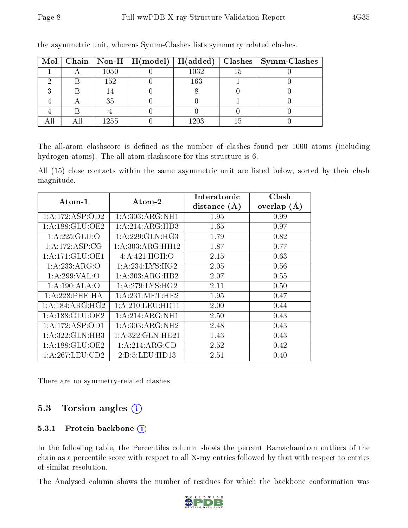|  |      | Mol   Chain   Non-H   H(model)   H(added) |      | $\mid$ Clashes $\mid$ Symm-Clashes |
|--|------|-------------------------------------------|------|------------------------------------|
|  | 1050 |                                           | 1032 |                                    |
|  | 152  |                                           | 163  |                                    |
|  |      |                                           |      |                                    |
|  | 35   |                                           |      |                                    |
|  |      |                                           |      |                                    |
|  | 1255 |                                           | 1203 |                                    |

the asymmetric unit, whereas Symm-Clashes lists symmetry related clashes.

The all-atom clashscore is defined as the number of clashes found per 1000 atoms (including hydrogen atoms). The all-atom clashscore for this structure is 6.

All (15) close contacts within the same asymmetric unit are listed below, sorted by their clash magnitude.

| $\rm{Atom\text{-}1}$ | Atom-2               | Interatomic    | Clash         |
|----------------------|----------------------|----------------|---------------|
|                      |                      | distance $(A)$ | overlap $(A)$ |
| 1:A:172:ASP:OD2      | 1: A:303:ARG:NH1     | 1.95           | 0.99          |
| 1: A: 188: GLU: OE2  | 1: A:214: ARG:HD3    | 1.65           | 0.97          |
| 1:A:225:GLU:O        | 1: A:229: GLN: HG3   | 1.79           | 0.82          |
| 1:A:172:ASP:CG       | 1: A: 303: ARG: HH12 | 1.87           | 0.77          |
| 1:A:171:GLU:OE1      | 4: A:421: HOH: O     | 2.15           | 0.63          |
| 1: A: 233: ARG: O    | 1: A:234:LYS:HG2     | 2.05           | 0.56          |
| 1:A:299:VAL:O        | 1: A:303:ARG:HB2     | 2.07           | 0.55          |
| 1:A:190:ALA:O        | 1: A:279: LYS: HG2   | 2.11           | 0.50          |
| $1: A:228:$ PHE:HA   | 1: A:231: MET:HE2    | 1.95           | 0.47          |
| 1:A:184:ARG:HG2      | 1: A:210:LEU:HD11    | 2.00           | 0.44          |
| 1: A: 188: GLU: OE2  | 1: A:214: ARG: NH1   | 2.50           | 0.43          |
| 1:A:172:ASP:OD1      | 1: A:303:ARG:NH2     | 2.48           | 0.43          |
| 1: A: 322: GLN: HB3  | $1:$ A:322:GLN:HE21  | 1.43           | 0.43          |
| 1:A:188:GLU:OE2      | 1:A:214:ARG:CD       | 2.52           | 0.42          |
| 1: A:267:LEU:CD2     | 2: B: 5: LEU: HD13   | 2.51           | 0.40          |

There are no symmetry-related clashes.

### 5.3 Torsion angles (i)

#### 5.3.1 Protein backbone (i)

In the following table, the Percentiles column shows the percent Ramachandran outliers of the chain as a percentile score with respect to all X-ray entries followed by that with respect to entries of similar resolution.

The Analysed column shows the number of residues for which the backbone conformation was

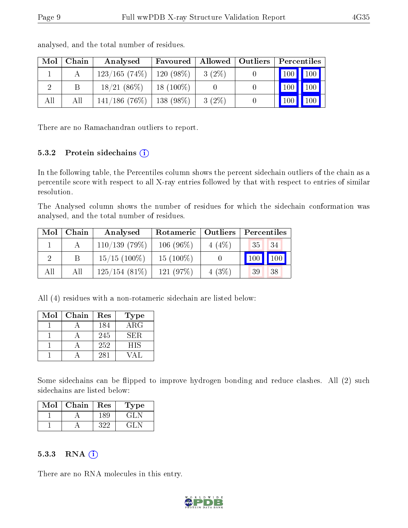| Mol            | Chain | Analysed        | Favoured    |          | $\parallel$ Allowed $\parallel$ Outliers $\parallel$ | Percentiles                     |                     |
|----------------|-------|-----------------|-------------|----------|------------------------------------------------------|---------------------------------|---------------------|
|                |       | 123/165(74%)    | $120(98\%)$ | $3(2\%)$ |                                                      | $\vert$ 100 $\vert$ 100 $\vert$ |                     |
| $\overline{2}$ | B     | $18/21(86\%)$   | $18(100\%)$ |          |                                                      | 100                             | $\vert$ 100 $\vert$ |
| All            | All   | $141/186(76\%)$ | $138(98\%)$ | $3(2\%)$ |                                                      | 100                             | $\vert$ 100 $\vert$ |

analysed, and the total number of residues.

There are no Ramachandran outliers to report.

#### 5.3.2 Protein sidechains (i)

In the following table, the Percentiles column shows the percent sidechain outliers of the chain as a percentile score with respect to all X-ray entries followed by that with respect to entries of similar resolution.

The Analysed column shows the number of residues for which the sidechain conformation was analysed, and the total number of residues.

| Mol | Chain | Analysed        | Rotameric   Outliers |       | Percentiles                  |     |
|-----|-------|-----------------|----------------------|-------|------------------------------|-----|
|     |       | 110/139(79%)    | $106(96\%)$          | 4(4%) | 35 <sup>1</sup>              | 34  |
|     |       | $15/15$ (100\%) | $15(100\%)$          |       | $\overline{100}$ $^{\prime}$ | 100 |
| All | All   | $125/154(81\%)$ | 121(97%)             | 4(3%) | 39                           | 38  |

All (4) residues with a non-rotameric sidechain are listed below:

| Mol | Chain | Res | Type       |
|-----|-------|-----|------------|
|     |       | 184 | $\rm{ARG}$ |
|     |       | 245 | SER.       |
|     |       | 252 | <b>HIS</b> |
|     |       | 281 |            |

Some sidechains can be flipped to improve hydrogen bonding and reduce clashes. All (2) such sidechains are listed below:

| Mol | Chain | Res  | Type  |
|-----|-------|------|-------|
|     |       | 189. | GLA   |
|     |       | マツソ  | GH IN |

#### 5.3.3 RNA (i)

There are no RNA molecules in this entry.

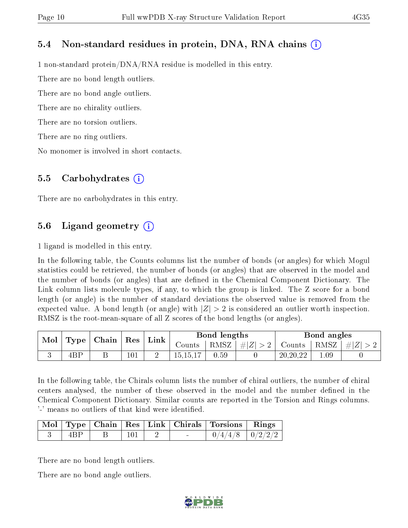#### 5.4 Non-standard residues in protein, DNA, RNA chains (i)

1 non-standard protein/DNA/RNA residue is modelled in this entry.

There are no bond length outliers.

There are no bond angle outliers.

There are no chirality outliers.

There are no torsion outliers.

There are no ring outliers.

No monomer is involved in short contacts.

#### 5.5 Carbohydrates (i)

There are no carbohydrates in this entry.

### 5.6 Ligand geometry  $(i)$

1 ligand is modelled in this entry.

In the following table, the Counts columns list the number of bonds (or angles) for which Mogul statistics could be retrieved, the number of bonds (or angles) that are observed in the model and the number of bonds (or angles) that are defined in the Chemical Component Dictionary. The Link column lists molecule types, if any, to which the group is linked. The Z score for a bond length (or angle) is the number of standard deviations the observed value is removed from the expected value. A bond length (or angle) with  $|Z| > 2$  is considered an outlier worth inspection. RMSZ is the root-mean-square of all Z scores of the bond lengths (or angles).

| Mol | $\mid$ Type $\mid$ Chain $\mid$ Res $\mid$ |         | Link |                               | Bond lengths |               |            | Bond angles     |  |
|-----|--------------------------------------------|---------|------|-------------------------------|--------------|---------------|------------|-----------------|--|
|     |                                            |         |      | RMSZ $ #Z  > 2$  <br>Counts ' |              | Counts   RMSZ |            | $\perp$ # $ Z $ |  |
|     | 4BP                                        | $101\,$ |      | 15, 15, 17                    | 0.59         |               | 20, 20, 22 | 1.09            |  |

In the following table, the Chirals column lists the number of chiral outliers, the number of chiral centers analysed, the number of these observed in the model and the number defined in the Chemical Component Dictionary. Similar counts are reported in the Torsion and Rings columns. '-' means no outliers of that kind were identified.

|     |  |        | Mol   Type   Chain   Res   Link   Chirals   Torsions   Rings |  |
|-----|--|--------|--------------------------------------------------------------|--|
| 4BP |  | $\sim$ | $0/4/4/8$   $0/2/2/2$                                        |  |

There are no bond length outliers.

There are no bond angle outliers.

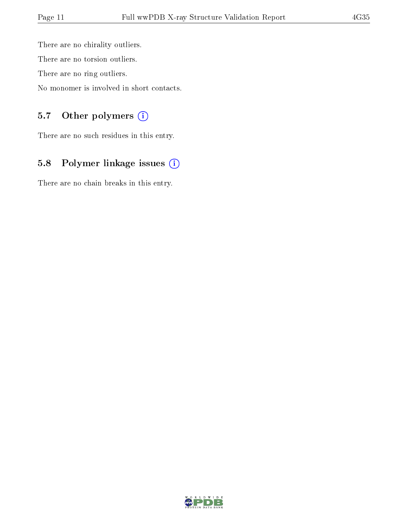There are no chirality outliers. There are no torsion outliers. There are no ring outliers.

No monomer is involved in short contacts.

### 5.7 [O](https://www.wwpdb.org/validation/2017/XrayValidationReportHelp#nonstandard_residues_and_ligands)ther polymers (i)

There are no such residues in this entry.

## 5.8 Polymer linkage issues (i)

There are no chain breaks in this entry.

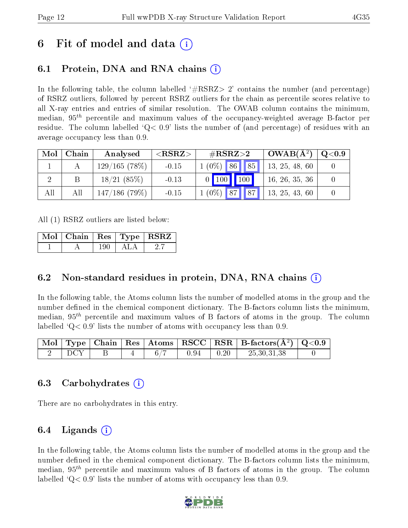## 6 Fit of model and data  $(i)$

## 6.1 Protein, DNA and RNA chains (i)

In the following table, the column labelled  $#RSRZ> 2'$  contains the number (and percentage) of RSRZ outliers, followed by percent RSRZ outliers for the chain as percentile scores relative to all X-ray entries and entries of similar resolution. The OWAB column contains the minimum, median,  $95<sup>th</sup>$  percentile and maximum values of the occupancy-weighted average B-factor per residue. The column labelled  $Q < 0.9$  lists the number of (and percentage) of residues with an average occupancy less than 0.9.

| Mol | Chain | Analysed     | ${ <\hspace{-1.5pt}{\mathrm{RSRZ}} \hspace{-1.5pt}>}$ | $\#\text{RSRZ}{>}2$ | $OWAB(A^2)$    | $\rm Q\textcolor{black}{<}0.9$ |
|-----|-------|--------------|-------------------------------------------------------|---------------------|----------------|--------------------------------|
|     |       | 129/165(78%) | $-0.15$                                               | $1(0\%)$ 86 85      | 13, 25, 48, 60 |                                |
|     |       | 18/21(85%)   | $-0.13$                                               | 0   100   100       | 16, 26, 35, 36 |                                |
| All | All   | 147/186(79%) | $-0.15$                                               | $1(0\%)$ 87 87      | 13, 25, 43, 60 |                                |

All (1) RSRZ outliers are listed below:

|  |     |     | $\mid$ Mol $\mid$ Chain $\mid$ Res $\mid$ Type $\mid$ RSRZ $\mid$ |
|--|-----|-----|-------------------------------------------------------------------|
|  | 190 | ALA |                                                                   |

### 6.2 Non-standard residues in protein, DNA, RNA chains (i)

In the following table, the Atoms column lists the number of modelled atoms in the group and the number defined in the chemical component dictionary. The B-factors column lists the minimum, median,  $95<sup>th</sup>$  percentile and maximum values of B factors of atoms in the group. The column labelled  $Q< 0.9$ ' lists the number of atoms with occupancy less than 0.9.

|  |  |      |      | $\mid$ Mol $\mid$ Type $\mid$ Chain $\mid$ Res $\mid$ Atoms $\mid$ RSCC $\mid$ RSR $\mid$ B-factors(A <sup>2</sup> ) $\mid$ Q<0.9 |  |
|--|--|------|------|-----------------------------------------------------------------------------------------------------------------------------------|--|
|  |  | 0.94 | 0.20 | 25,30,31,38                                                                                                                       |  |

### 6.3 Carbohydrates (i)

There are no carbohydrates in this entry.

### 6.4 Ligands  $(i)$

In the following table, the Atoms column lists the number of modelled atoms in the group and the number defined in the chemical component dictionary. The B-factors column lists the minimum, median,  $95<sup>th</sup>$  percentile and maximum values of B factors of atoms in the group. The column labelled  $Q< 0.9$  lists the number of atoms with occupancy less than 0.9.